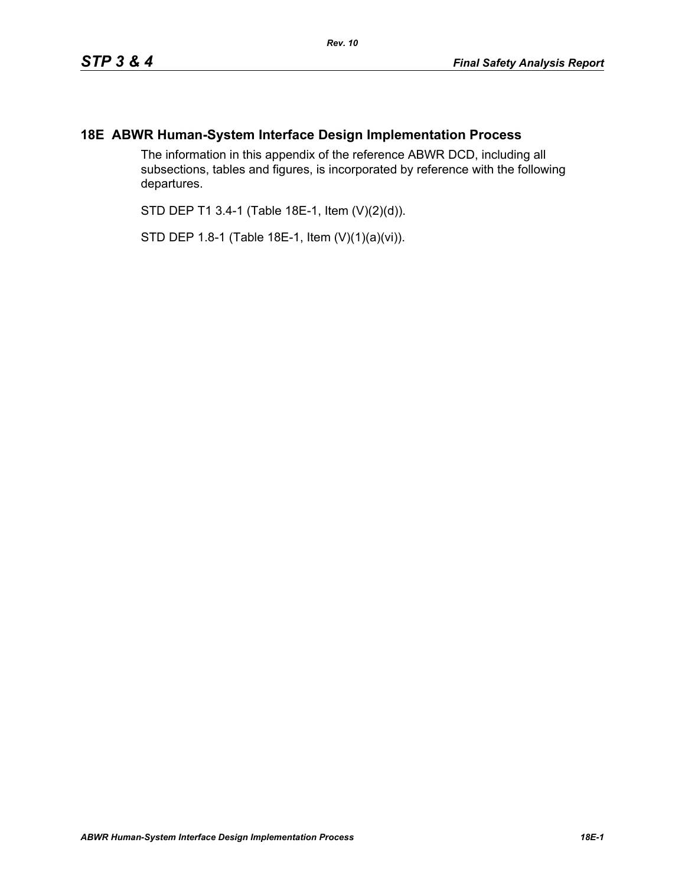## **18E ABWR Human-System Interface Design Implementation Process**

The information in this appendix of the reference ABWR DCD, including all subsections, tables and figures, is incorporated by reference with the following departures.

STD DEP T1 3.4-1 (Table 18E-1, Item (V)(2)(d)).

STD DEP 1.8-1 (Table 18E-1, Item (V)(1)(a)(vi)).